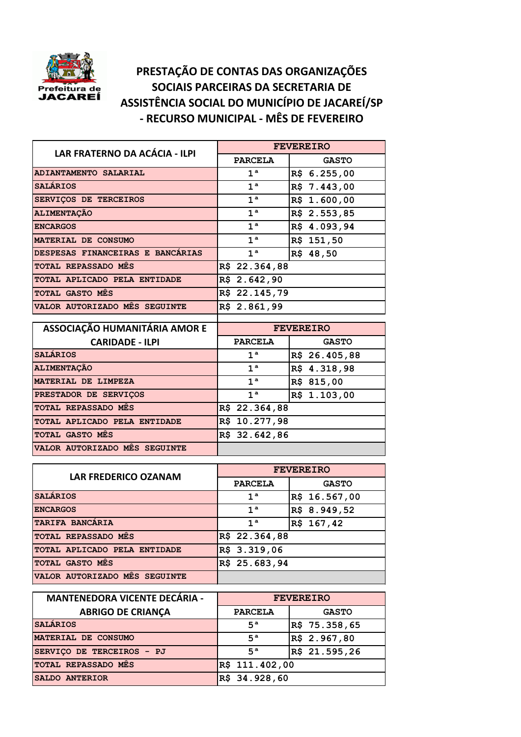

## **PRESTAÇÃO DE CONTAS DAS ORGANIZAÇÕES SOCIAIS PARCEIRAS DA SECRETARIA DE ASSISTÊNCIA SOCIAL DO MUNICÍPIO DE JACAREÍ/SP - RECURSO MUNICIPAL - MÊS DE FEVEREIRO**

| LAR FRATERNO DA ACÁCIA - ILPI    | <b>FEVEREIRO</b>  |              |
|----------------------------------|-------------------|--------------|
|                                  | <b>PARCELA</b>    | <b>GASTO</b> |
| ADIANTAMENTO SALARIAL            | $1^a$             | R\$ 6.255,00 |
| <b>SALARIOS</b>                  | 1 <sup>a</sup>    | R\$ 7.443,00 |
| SERVICOS DE TERCEIROS            | $1^a$             | R\$ 1.600,00 |
| <b>ALIMENTACÃO</b>               | $1^a$             | R\$ 2.553,85 |
| <b>ENCARGOS</b>                  | 1 <sup>a</sup>    | R\$ 4.093,94 |
| MATERIAL DE CONSUMO              | $1^a$             | R\$ 151,50   |
| DESPESAS FINANCEIRAS E BANCARIAS | 1 <sup>a</sup>    | R\$ 48,50    |
| <b>TOTAL REPASSADO MES</b>       | R\$ 22.364,88     |              |
| TOTAL APLICADO PELA ENTIDADE     | $R\$ {5} 2.642,90 |              |
| <b>TOTAL GASTO MES</b>           | R\$ 22.145,79     |              |
| VALOR AUTORIZADO MES SEGUINTE    | R\$ 2.861,99      |              |
|                                  |                   |              |

| ASSOCIAÇÃO HUMANITÁRIA AMOR E | <b>FEVEREIRO</b> |               |
|-------------------------------|------------------|---------------|
| <b>CARIDADE - ILPI</b>        | <b>PARCELA</b>   | <b>GASTO</b>  |
| <b>SALARIOS</b>               | $1^{\mathrm{a}}$ | R\$ 26.405,88 |
| <b>ALIMENTACÃO</b>            | $1^{\mathrm{a}}$ | R\$ 4.318,98  |
| MATERIAL DE LIMPEZA           | 1 <sup>a</sup>   | R\$ 815,00    |
| PRESTADOR DE SERVICOS         | 1 <sup>a</sup>   | R\$ 1.103,00  |
| TOTAL REPASSADO MES           | R\$ 22.364,88    |               |
| TOTAL APLICADO PELA ENTIDADE  | R\$ 10.277,98    |               |
| <b>TOTAL GASTO MES</b>        | R\$ 32.642,86    |               |
| VALOR AUTORIZADO MÊS SEGUINTE |                  |               |

| <b>LAR FREDERICO OZANAM</b>   | <b>FEVEREIRO</b> |               |  |
|-------------------------------|------------------|---------------|--|
|                               | <b>PARCELA</b>   | <b>GASTO</b>  |  |
| <b>SALARIOS</b>               | 1 <sup>a</sup>   | R\$ 16.567,00 |  |
| <b>ENCARGOS</b>               | 1 <sup>a</sup>   | R\$ 8.949,52  |  |
| TARIFA BANCARIA               | 1 <sup>a</sup>   | R\$ 167,42    |  |
| <b>TOTAL REPASSADO MES</b>    | R\$ 22.364,88    |               |  |
| TOTAL APLICADO PELA ENTIDADE  | R\$ 3.319,06     |               |  |
| <b>TOTAL GASTO MES</b>        | R\$ 25.683,94    |               |  |
| VALOR AUTORIZADO MES SEGUINTE |                  |               |  |

| <b>MANTENEDORA VICENTE DECÁRIA -</b> | <b>FEVEREIRO</b> |               |
|--------------------------------------|------------------|---------------|
| <b>ABRIGO DE CRIANÇA</b>             | <b>PARCELA</b>   | <b>GASTO</b>  |
| <b>SALÁRIOS</b>                      | $5^a$            | R\$ 75.358,65 |
| MATERIAL DE CONSUMO                  | $5^a$            | R\$ 2.967,80  |
| SERVICO DE TERCEIROS - PJ            | $5^a$            | R\$ 21.595,26 |
| TOTAL REPASSADO MÊS                  | R\$ 111.402,00   |               |
| SALDO ANTERIOR                       | R\$ 34.928,60    |               |